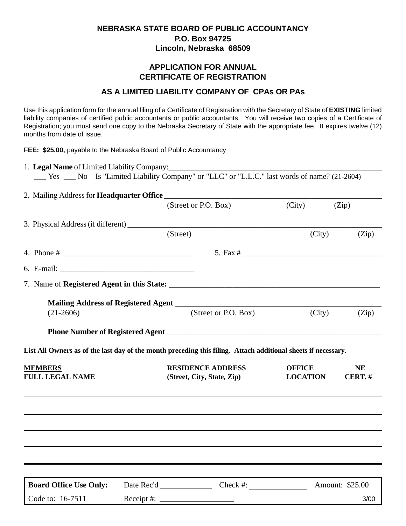## **NEBRASKA STATE BOARD OF PUBLIC ACCOUNTANCY P.O. Box 94725 Lincoln, Nebraska 68509**

## **APPLICATION FOR ANNUAL CERTIFICATE OF REGISTRATION**

## **AS A LIMITED LIABILITY COMPANY OF CPAs OR PAs**

Use this application form for the annual filing of a Certificate of Registration with the Secretary of State of **EXISTING** limited liability companies of certified public accountants or public accountants. You will receive two copies of a Certificate of Registration; you must send one copy to the Nebraska Secretary of State with the appropriate fee. It expires twelve (12) months from date of issue.

**FEE: \$25.00,** payable to the Nebraska Board of Public Accountancy

| __ Yes __ No Is "Limited Liability Company" or "LLC" or "L.L.C." last words of name? (21-2604) |                                                                                                                 |        |       |  |  |  |  |  |
|------------------------------------------------------------------------------------------------|-----------------------------------------------------------------------------------------------------------------|--------|-------|--|--|--|--|--|
|                                                                                                |                                                                                                                 |        |       |  |  |  |  |  |
|                                                                                                | (Street or P.O. Box)                                                                                            | (City) | (Zip) |  |  |  |  |  |
| 3. Physical Address (if different)                                                             |                                                                                                                 |        |       |  |  |  |  |  |
|                                                                                                | (Street)                                                                                                        | (City) | (Zip) |  |  |  |  |  |
|                                                                                                |                                                                                                                 |        |       |  |  |  |  |  |
|                                                                                                |                                                                                                                 |        |       |  |  |  |  |  |
|                                                                                                |                                                                                                                 |        |       |  |  |  |  |  |
|                                                                                                |                                                                                                                 |        |       |  |  |  |  |  |
| $(21-2606)$                                                                                    | (Street or P.O. Box)                                                                                            | (City) | (Zip) |  |  |  |  |  |
|                                                                                                | Phone Number of Registered Agent <b>Example 2018</b>                                                            |        |       |  |  |  |  |  |
|                                                                                                | المدارية والمتحاولات المتمارية المتحاولة المتحاولة والمتحاولة والمستحدث والمتحاول والمستحدث والمتحاول والمستحدث |        |       |  |  |  |  |  |

**List All Owners as of the last day of the month preceding this filing. Attach additional sheets if necessary.**

| <b>MEMBERS</b><br><b>FULL LEGAL NAME</b> |                    | <b>RESIDENCE ADDRESS</b><br>(Street, City, State, Zip) | <b>OFFICE</b><br><b>LOCATION</b> | <b>NE</b><br>CERT.# |
|------------------------------------------|--------------------|--------------------------------------------------------|----------------------------------|---------------------|
|                                          |                    |                                                        |                                  |                     |
|                                          |                    |                                                        |                                  |                     |
|                                          |                    |                                                        |                                  |                     |
|                                          |                    |                                                        |                                  |                     |
|                                          |                    |                                                        |                                  |                     |
| <b>Board Office Use Only:</b>            |                    | Check #:<br>Date Rec'd                                 |                                  | Amount: \$25.00     |
| Code to: 16-7511                         | Receipt # $\equiv$ |                                                        |                                  | 3/00                |